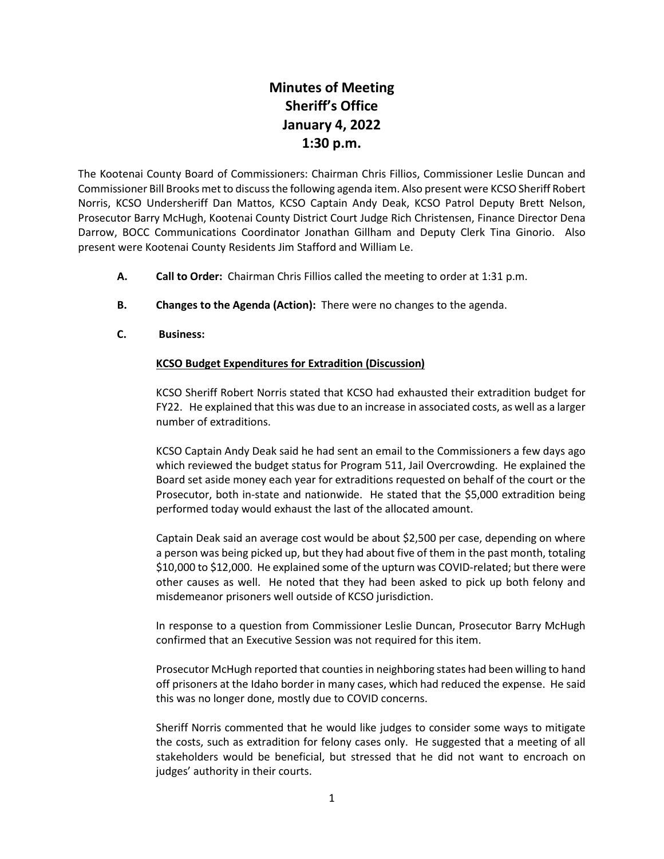## **Minutes of Meeting Sheriff's Office January 4, 2022 1:30 p.m.**

The Kootenai County Board of Commissioners: Chairman Chris Fillios, Commissioner Leslie Duncan and Commissioner Bill Brooks met to discuss the following agenda item. Also present were KCSO Sheriff Robert Norris, KCSO Undersheriff Dan Mattos, KCSO Captain Andy Deak, KCSO Patrol Deputy Brett Nelson, Prosecutor Barry McHugh, Kootenai County District Court Judge Rich Christensen, Finance Director Dena Darrow, BOCC Communications Coordinator Jonathan Gillham and Deputy Clerk Tina Ginorio. Also present were Kootenai County Residents Jim Stafford and William Le.

- **A. Call to Order:** Chairman Chris Fillios called the meeting to order at 1:31 p.m.
- **B. Changes to the Agenda (Action):** There were no changes to the agenda.
- **C. Business:**

## **KCSO Budget Expenditures for Extradition (Discussion)**

KCSO Sheriff Robert Norris stated that KCSO had exhausted their extradition budget for FY22. He explained that this was due to an increase in associated costs, as well as a larger number of extraditions.

KCSO Captain Andy Deak said he had sent an email to the Commissioners a few days ago which reviewed the budget status for Program 511, Jail Overcrowding. He explained the Board set aside money each year for extraditions requested on behalf of the court or the Prosecutor, both in-state and nationwide. He stated that the \$5,000 extradition being performed today would exhaust the last of the allocated amount.

Captain Deak said an average cost would be about \$2,500 per case, depending on where a person was being picked up, but they had about five of them in the past month, totaling \$10,000 to \$12,000. He explained some of the upturn was COVID-related; but there were other causes as well. He noted that they had been asked to pick up both felony and misdemeanor prisoners well outside of KCSO jurisdiction.

In response to a question from Commissioner Leslie Duncan, Prosecutor Barry McHugh confirmed that an Executive Session was not required for this item.

Prosecutor McHugh reported that counties in neighboring states had been willing to hand off prisoners at the Idaho border in many cases, which had reduced the expense. He said this was no longer done, mostly due to COVID concerns.

Sheriff Norris commented that he would like judges to consider some ways to mitigate the costs, such as extradition for felony cases only. He suggested that a meeting of all stakeholders would be beneficial, but stressed that he did not want to encroach on judges' authority in their courts.